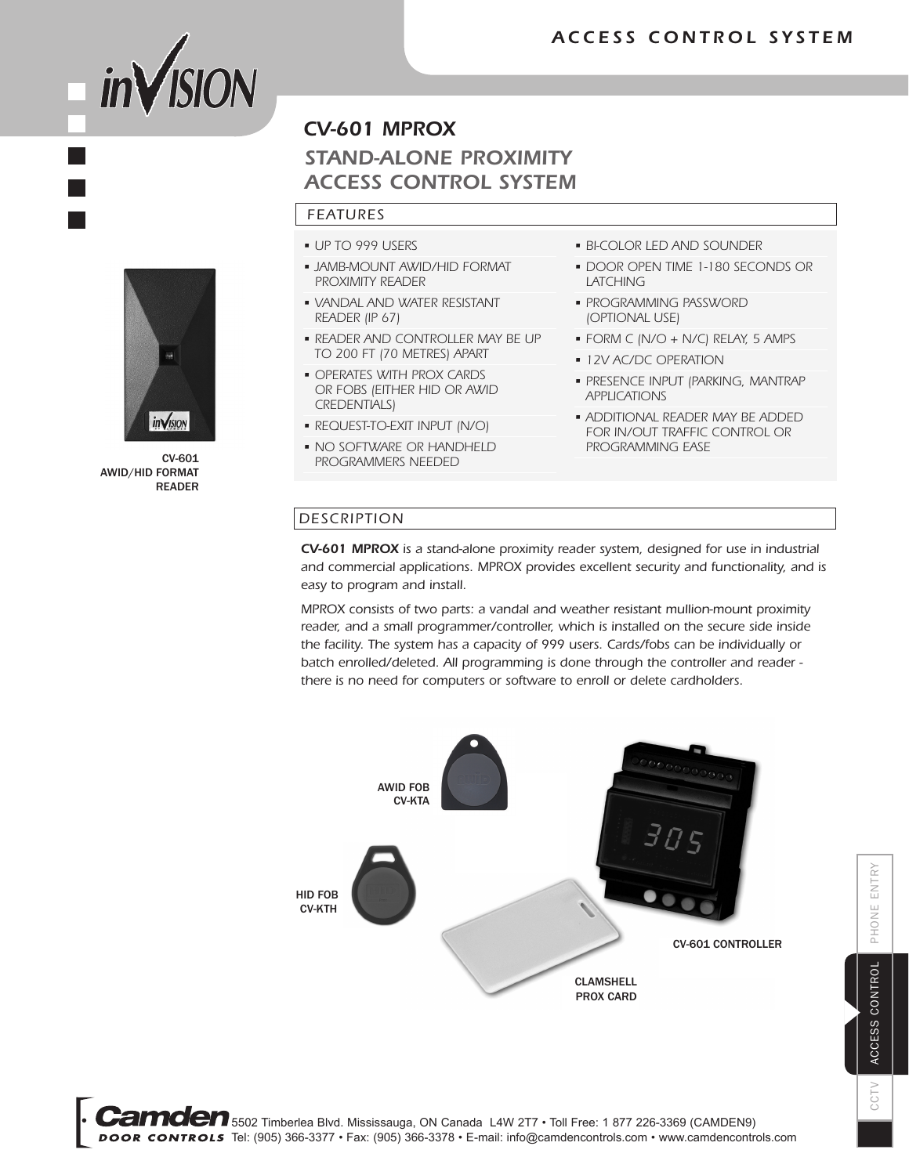



CV-601 AWID/HID FORMAT READER

### *CV-601 MPROX*

## *STAND-ALONE PROXIMITY ACCESS CONTROL SYSTEM*

#### *FEATURES*

- UP TO 999 USERS
- JAMB-MOUNT AWID/HID FORMAT PROXIMITY READER
- VANDAL AND WATER RESISTANT READER (IP 67)
- READER AND CONTROLLER MAY BE UP TO 200 FT (70 METRES) APART
- OPERATES WITH PROX CARDS OR FOBS (EITHER HID OR AWID CREDENTIALS)
- REQUEST-TO-EXIT INPUT (N/O)
- NO SOFTWARE OR HANDHELD PROGRAMMERS NEEDED
- BI-COLOR LED AND SOUNDER
- DOOR OPEN TIME 1-180 SECONDS OR LATCHING
- PROGRAMMING PASSWORD (OPTIONAL USE)
- FORM C (N/O + N/C) RELAY, 5 AMPS
- 12V AC/DC OPERATION
- PRESENCE INPUT (PARKING, MANTRAP APPLICATIONS
- ADDITIONAL READER MAY BE ADDED FOR IN/OUT TRAFFIC CONTROL OR PROGRAMMING EASE

#### *DESCRIPTION*

*CV-601 MPROX is a stand-alone proximity reader system, designed for use in industrial and commercial applications. MPROX provides excellent security and functionality, and is easy to program and install.*

*MPROX consists of two parts: a vandal and weather resistant mullion-mount proximity*  reader, and a small programmer/controller, which is installed on the secure side inside *the facility. The system has a capacity of 999 users. Cards/fobs can be individually or batch enrolled/deleted. All programming is done through the controller and reader there is no need for computers or software to enroll or delete cardholders.*



5502 Timberlea Blvd. Mississauga, ON Canada L4W 2T7 • Toll Free: 1 877 226-3369 (CAMDEN9) DOOR CONTROLS Tel: (905) 366-3377 • Fax: (905) 366-3378 • E-mail: info@camdencontrols.com • www.camdencontrols.com